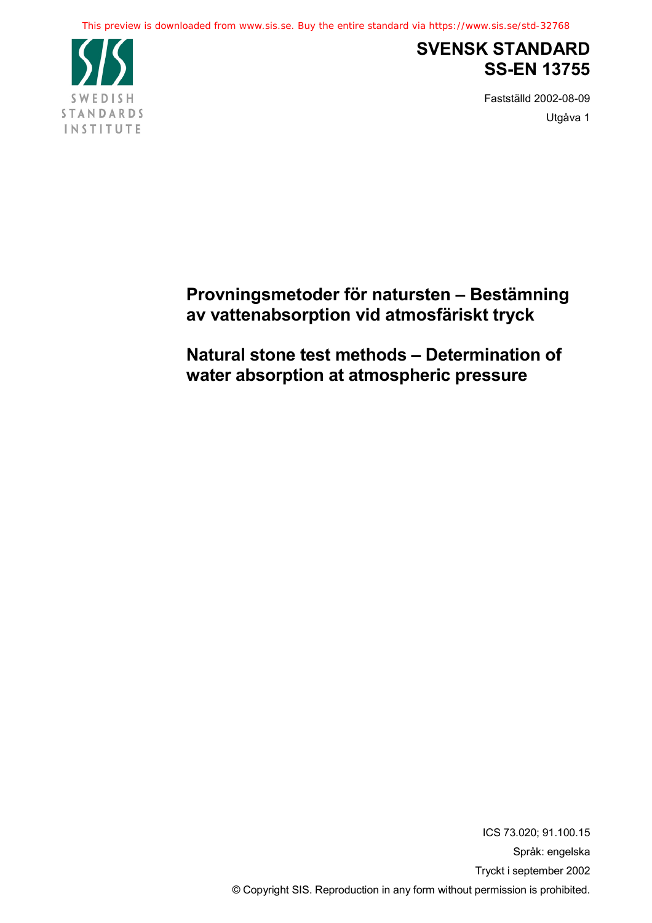This preview is downloaded from www.sis.se. Buy the entire standard via https://www.sis.se/std-32768



## **SVENSK STANDARD SS-EN 13755**

Fastställd 2002-08-09 Utgåva 1

## **Provningsmetoder för natursten – Bestämning av vattenabsorption vid atmosfäriskt tryck**

**Natural stone test methods – Determination of water absorption at atmospheric pressure**

> ICS 73.020; 91.100.15 Språk: engelska Tryckt i september 2002 © Copyright SIS. Reproduction in any form without permission is prohibited.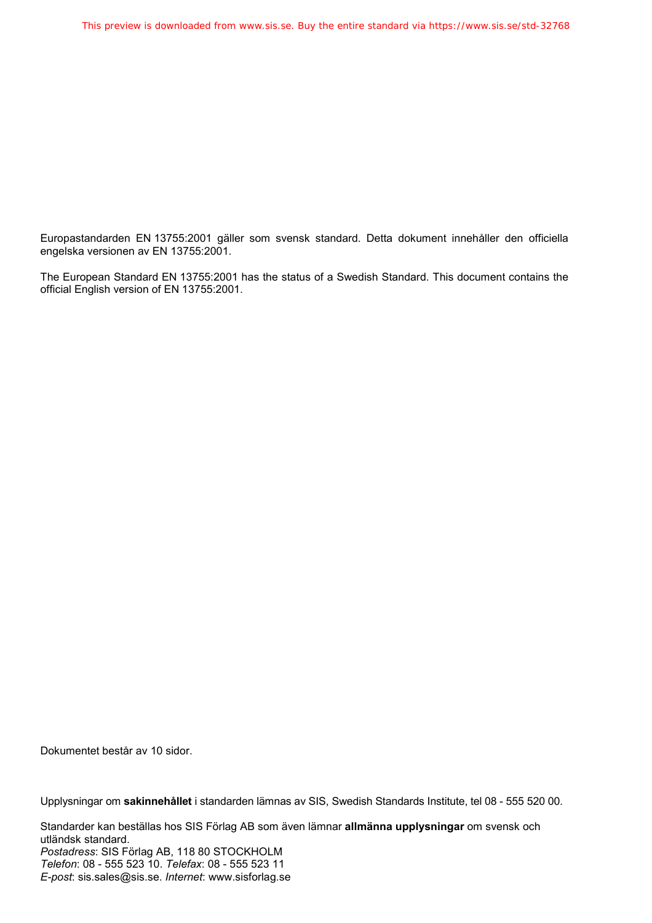Europastandarden EN 13755:2001 gäller som svensk standard. Detta dokument innehåller den officiella engelska versionen av EN 13755:2001.

The European Standard EN 13755:2001 has the status of a Swedish Standard. This document contains the official English version of EN 13755:2001.

Dokumentet består av 10 sidor.

Upplysningar om **sakinnehållet** i standarden lämnas av SIS, Swedish Standards Institute, tel 08 - 555 520 00.

Standarder kan beställas hos SIS Förlag AB som även lämnar **allmänna upplysningar** om svensk och utländsk standard. *Postadress*: SIS Förlag AB, 118 80 STOCKHOLM *Telefon*: 08 - 555 523 10. *Telefax*: 08 - 555 523 11 *E-post*: sis.sales@sis.se. *Internet*: www.sisforlag.se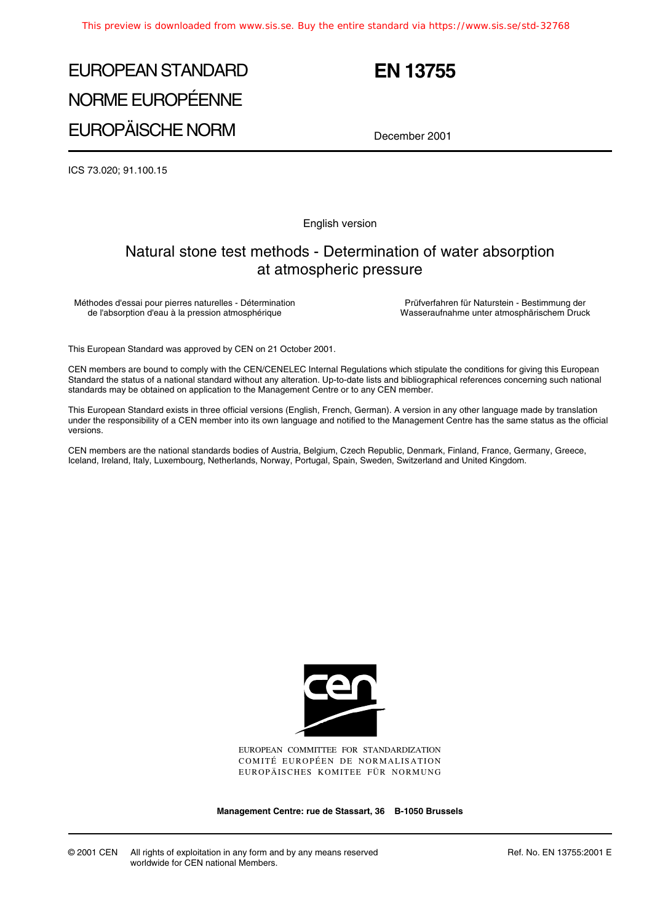# EUROPEAN STANDARD NORME EUROPÉENNE EUROPÄISCHE NORM

## **EN 13755**

December 2001

ICS 73.020; 91.100.15

English version

## Natural stone test methods - Determination of water absorption at atmospheric pressure

Méthodes d'essai pour pierres naturelles - Détermination de l'absorption d'eau à la pression atmosphérique

Prüfverfahren für Naturstein - Bestimmung der Wasseraufnahme unter atmosphärischem Druck

This European Standard was approved by CEN on 21 October 2001.

CEN members are bound to comply with the CEN/CENELEC Internal Regulations which stipulate the conditions for giving this European Standard the status of a national standard without any alteration. Up-to-date lists and bibliographical references concerning such national standards may be obtained on application to the Management Centre or to any CEN member.

This European Standard exists in three official versions (English, French, German). A version in any other language made by translation under the responsibility of a CEN member into its own language and notified to the Management Centre has the same status as the official versions.

CEN members are the national standards bodies of Austria, Belgium, Czech Republic, Denmark, Finland, France, Germany, Greece, Iceland, Ireland, Italy, Luxembourg, Netherlands, Norway, Portugal, Spain, Sweden, Switzerland and United Kingdom.



EUROPEAN COMMITTEE FOR STANDARDIZATION COMITÉ EUROPÉEN DE NORMALISATION EUROPÄISCHES KOMITEE FÜR NORMUNG

**Management Centre: rue de Stassart, 36 B-1050 Brussels**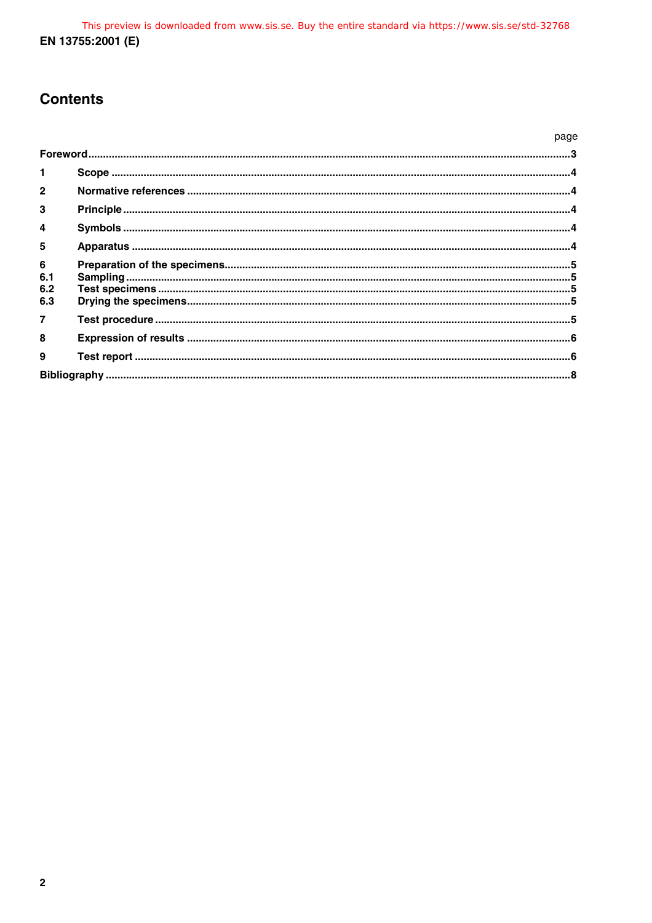## **Contents**

|                                     |  | page |
|-------------------------------------|--|------|
|                                     |  |      |
| $\mathbf{1}$                        |  |      |
| $\mathbf{2}$                        |  |      |
| 3                                   |  |      |
| 4                                   |  |      |
| 5                                   |  |      |
| $6\phantom{a}$<br>6.1<br>6.2<br>6.3 |  |      |
| $\overline{7}$                      |  |      |
| 8                                   |  |      |
| 9                                   |  |      |
|                                     |  |      |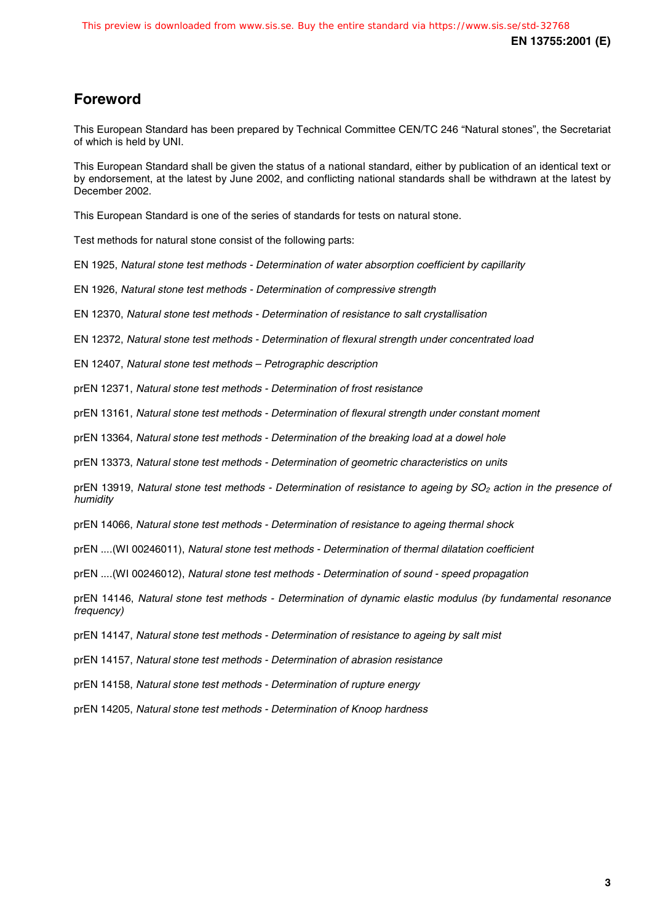## **Foreword**

This European Standard has been prepared by Technical Committee CEN/TC 246 "Natural stones", the Secretariat of which is held by UNI.

This European Standard shall be given the status of a national standard, either by publication of an identical text or by endorsement, at the latest by June 2002, and conflicting national standards shall be withdrawn at the latest by December 2002.

This European Standard is one of the series of standards for tests on natural stone.

Test methods for natural stone consist of the following parts:

EN 1925, Natural stone test methods - Determination of water absorption coefficient by capillarity

EN 1926, Natural stone test methods - Determination of compressive strength

EN 12370, Natural stone test methods - Determination of resistance to salt crystallisation

EN 12372, Natural stone test methods - Determination of flexural strength under concentrated load

EN 12407, Natural stone test methods – Petrographic description

prEN 12371, Natural stone test methods - Determination of frost resistance

prEN 13161, Natural stone test methods - Determination of flexural strength under constant moment

prEN 13364, Natural stone test methods - Determination of the breaking load at a dowel hole

prEN 13373, Natural stone test methods - Determination of geometric characteristics on units

prEN 13919, Natural stone test methods - Determination of resistance to ageing by SO<sub>2</sub> action in the presence of humidity

prEN 14066, Natural stone test methods - Determination of resistance to ageing thermal shock

prEN ....(WI 00246011), Natural stone test methods - Determination of thermal dilatation coefficient

prEN ....(WI 00246012), Natural stone test methods - Determination of sound - speed propagation

prEN 14146, Natural stone test methods - Determination of dynamic elastic modulus (by fundamental resonance frequency)

prEN 14147, Natural stone test methods - Determination of resistance to ageing by salt mist

prEN 14157, Natural stone test methods - Determination of abrasion resistance

prEN 14158, Natural stone test methods - Determination of rupture energy

prEN 14205, Natural stone test methods - Determination of Knoop hardness